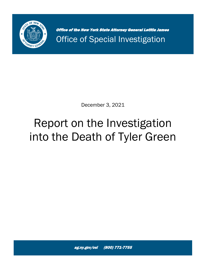

Office of the New York State Attorney General Letitia James Office of Special Investigation

December 3, 2021

# Report on the Investigation into the Death of Tyler Green

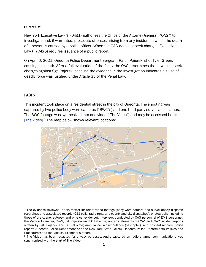#### **SUMMARY**

New York Executive Law § 70-b(1) authorizes the Office of the Attorney General ("OAG") to investigate and, if warranted, prosecute offenses arising from any incident in which the death of a person is caused by a police officer. When the OAG does not seek charges, Executive Law § 70-b(6) requires issuance of a public report.

On April 6, 2021, Oneonta Police Department Sergeant Ralph Pajerski shot Tyler Green, causing his death. After a full evaluation of the facts, the OAG determines that it will not seek charges against Sgt. Pajerski because the evidence in the investigation indicates his use of deadly force was justified under Article 35 of the Penal Law.

#### FACTS<sup>1</sup>

This incident took place on a residential street in the city of Oneonta. The shooting was captured by two police body worn cameras ("BWC"s) and one third party surveillance camera. The BWC footage was synthesized into one video ["The Video"] and may be accessed here: [\[The Video\]](https://vimeo.com/652211784/9ffee43a15).<sup>2</sup> The map below shows relevant locations:



<sup>1</sup> The evidence reviewed in this matter included: video footage (body worn camera and surveillance); dispatch recordings and associated records (911 calls, radio runs, and county and city dispatches); photographs (including those of the scene, autopsy, and physical evidence); interviews conducted by OAG personnel of EMS personnel, the Medical Examiner, CW-2, Sgt. Pajerski, and PO LaPointe; written statements by CW-1 and CW-2; incident reports written by Sgt. Pajerksi and PO LaPointe; ambulance, air ambulance (helicopter), and hospital records; police reports (Oneonta Police Department and the New York State Police); Oneonta Police Departments Policies and Procedures; and the Medical Examiner's report.

<sup>2</sup> The Video has been redacted for privacy purposes. Audio captured on radio channel communications was synchronized with the start of The Video.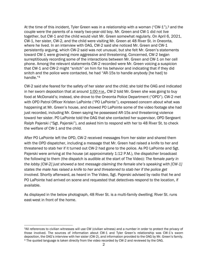At the time of this incident, Tyler Green was in a relationship with a woman ("CW-1"),<sup>3</sup> and the couple were the parents of a nearly two-year-old boy. Mr. Green and CW-1 did not live together, but CW-1 and the child would visit Mr. Green somewhat regularly. On April 6, 2021, CW-1, her sister, CW-2, and the child were visiting Mr. Green at 48 River St. in Oneonta, where he lived. In an interview with OAG, CW-2 said she noticed Mr. Green and CW-1 persistently arguing, which CW-2 said was not unusual, but she felt Mr. Green's statements toward CW-1 were growing more aggressive and threatening. Concerned, CW-2 began surreptitiously recording some of the interactions between Mr. Green and CW-1 on her cell phone. Among the relevant statements CW-2 recorded were Mr. Green voicing a suspicion that CW-1 and CW-2 might "snitch" on him for his behavior and indicating that if they did snitch and the police were contacted, he had "AR-15s to handle anybody [he had] to handle."<sup>4</sup>

CW-2 said she feared for the safety of her sister and the child; she told the OAG and indicated in her sworn deposition that at around 1:00 P.M., CW-2 told Mr. Green she was going to buy food at McDonald's; instead, she drove to the Oneonta Police Department ("OPD"). CW-2 met with OPD Patrol Officer Kristen LaPointe ("PO LaPointe"), expressed concern about what was happening at Mr. Green's house, and showed PO LaPointe some of the video footage she had just recorded, including Mr. Green saying he possessed AR-15s and threatening violence toward her sister. PO LaPointe told the OAG that she contacted her supervisor, OPD Sergeant Ralph Pajerski ("Sgt. Pajerski"), and asked him to respond with her to 48 River St. to check the welfare of CW-1 and the child.

After PO LaPointe left the OPD, CW-2 received messages from her sister and shared them with the OPD dispatcher, including a message that Mr. Green had raised a knife to her and threatened to stab her if it turned out CW-2 had gone to the police. As PO LaPointe and Sgt. Pajerski were arriving at the house (at approximately 1:12 P.M.), the dispatcher broadcast the following to them (the dispatch is audible at the start of The Video): *The female party in the lobby [CW-2] just showed a text message claiming the female she's speaking with [CW-1] states the male has raised a knife to her and threatened to stab her if the police get involved.* Shortly afterward, as heard in The Video, Sgt. Pajerski advised by radio that he and PO LaPointe had arrived on scene and requested that detectives respond to the location, if available.

As displayed in the below photograph, 48 River St. is a multi-family dwelling; River St. runs east-west in front of the home.

<sup>3</sup>All references to civilian witnesses will use CW (civilian witness) and a number in order to protect the privacy of those involved. The sources of information about CW-1 and Tyler Green's relationship was CW-1's sworn deposition, the OAG's interview with her sister (CW-2), and information provided to the OAG by Mr. Green's family. <sup>4</sup> The quoted language is taken directly from the video recorded by CW-2 and reviewed by the OAG.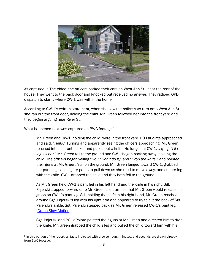

As captured in The Video, the officers parked their cars on West Ann St., near the rear of the house. They went to the back door and knocked but received no answer. They radioed OPD dispatch to clarify where CW-1 was within the home.

According to CW-1's written statement, when she saw the police cars turn onto West Ann St., she ran out the front door, holding the child. Mr. Green followed her into the front yard and they began arguing near River St.

What happened next was captured on BWC footage:<sup>5</sup>

Mr. Green and CW-1, holding the child, were in the front yard. PO LaPointe approached and said, "*Hello.*" Turning and apparently seeing the officers approaching, Mr. Green reached into his front pocket and pulled out a knife. He lunged at CW-1, saying, "*I'll f-- ing kill her.*" Mr. Green fell to the ground and CW-1 began backing away, holding the child. The officers began yelling "*No,*" "*Don't do it,*" and "*Drop the knife,*" and pointed their guns at Mr. Green. Still on the ground, Mr. Green lunged toward CW-1, grabbed her pant leg, causing her pants to pull down as she tried to move away, and cut her leg with the knife. CW-1 dropped the child and they both fell to the ground.

As Mr. Green held CW-1's pant leg in his left hand and the knife in his right, Sgt. Pajerski stepped forward onto Mr. Green's left arm so that Mr. Green would release his grasp on CW-1's pant leg. Still holding the knife in his right hand, Mr. Green reached around Sgt. Pajerski's leg with his right arm and appeared to try to cut the back of Sgt. Pajerski's ankle. Sgt. Pajerski stepped back as Mr. Green released CW-1's pant leg. [\[Green Slow Motion\]](https://vimeo.com/652212998/9749de78aa).

Sgt. Pajerski and PO LaPointe pointed their guns at Mr. Green and directed him to drop the knife. Mr. Green grabbed the child's leg and pulled the child toward him with his

<sup>5</sup> In this portion of the report, all facts indicated with precise hours, minutes, and seconds are drawn directly from BWC footage.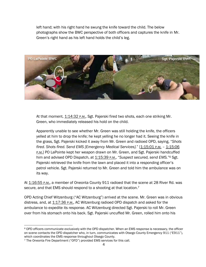left hand; with his right hand he swung the knife toward the child. The below photographs show the BWC perspective of both officers and captures the knife in Mr. Green's right hand as his left hand holds the child's leg.



At that moment, 1:14:32 P.M., Sgt. Pajerski fired two shots, each one striking Mr. Green, who immediately released his hold on the child.

Apparently unable to see whether Mr. Green was still holding the knife, the officers yelled at him to drop the knife; he kept yelling he no longer had it. Seeing the knife in the grass, Sgt. Pajerski kicked it away from Mr. Green and radioed OPD, saying, "*Shots fired. Shots fired. Send EMS [Emergency Medical Services].*" [1:15:01 P.M. – 1:15:06 P.M.] PO LaPointe kept her weapon drawn on Mr. Green, and Sgt. Pajerski handcuffed him and advised OPD Dispatch, at 1:15:39 P.M., "Suspect secured, send EMS."<sup>6</sup> Sgt. Pajerski retrieved the knife from the lawn and placed it into a responding officer's patrol vehicle. Sgt. Pajerski returned to Mr. Green and told him the ambulance was on its way.

At 1:16:55 P.M., a member of Oneonta County 911 radioed that the scene at 28 River Rd. was secure, and that EMS should respond to a shooting at that location.<sup>7</sup>

OPD Acting Chief Witzenburg ("AC Witzenburg") arrived at the scene. Mr. Green was in obvious distress, and, at 1:17:36 P.M., AC Witzenburg radioed OPD dispatch and asked for the ambulance to expedite its response. AC Witzenburg directed Sgt. Pajerski to roll Mr. Green over from his stomach onto his back. Sgt. Pajerski uncuffed Mr. Green, rolled him onto his

<sup>6</sup> OPD officers communicate exclusively with the OPD dispatcher. When an EMS response is necessary, the officer on scene contacts the OPD dispatcher who, in turn, communicates with Otsego County Emergency 911 ("E911"), which coordinates the EMS response throughout Otsego County.

<sup>7</sup> The Oneonta Fire Department ("OFD") provided EMS services for this call.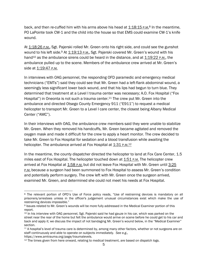back, and then re-cuffed him with his arms above his head at 1:18:15 P.M.<sup>8</sup> In the meantime, PO LaPointe took CW-1 and the child into the house so that EMS could examine CW-1's knife wound.

At 1:18:26 P.M., Sgt. Pajerski rolled Mr. Green onto his right side, and could see the gunshot wound to his left side.<sup>9</sup> At 1:19:13 P.M., Sgt. Pajerski covered Mr. Green's wound with his hand<sup>10</sup> as the ambulance sirens could be heard in the distance, and at 1:19:22 P.M., the ambulance pulled up to the scene. Members of the ambulance crew arrived at Mr. Green's side at 1:19:47 P.M.

In interviews with OAG personnel, the responding OFD paramedic and emergency medical technicians ("EMTs") said they could see that Mr. Green had a left-flank abdominal wound, a seemingly less significant lower back wound, and that his lips had begun to turn blue. They determined that treatment at a Level I trauma center was necessary; A.O. Fox Hospital ("Fox Hospital") in Oneonta is not such a trauma center.<sup>11</sup> The crew put Mr. Green into the ambulance and directed Otsego County Emergency 911 ("E911") to request a medical helicopter to transport Mr. Green to a Level I care center, the closest being Albany Medical Center ("AMC").

In their interviews with OAG, the ambulance crew members said they were unable to stabilize Mr. Green. When they removed his handcuffs, Mr. Green became agitated and removed the oxygen mask and made it difficult for the crew to apply a heart monitor. The crew decided to take Mr. Green to Fox Hospital for sedation and a blood transfusion while awaiting the helicopter. The ambulance arrived at Fox Hospital at 1:31 P.M.<sup>12</sup>

In the meantime, the county dispatcher directed the helicopter to land at Fox Care Center, 1.5 miles east of Fox Hospital. The helicopter touched down at 1:51 P.M. The helicopter crew arrived at Fox Hospital at 1:58 P.M. but did not leave Fox Hospital with Mr. Green until 3:25 **P.M.** because a surgeon had been summoned to Fox Hospital to assess Mr. Green's condition and potentially perform surgery. The crew left with Mr. Green once the surgeon arrived, examined Mr. Green, and determined she could not meet his needs at Fox Hospital.

<sup>8</sup> The relevant portion of OPD's Use of Force policy reads, "Use of restraining devices is mandatory on all prisoners/arrestees unless in the officer's judgement unusual circumstances exist which make the use of restraining devices impossible."

<sup>9</sup> Issues related to Mr. Green's wounds will be more fully addressed in the Medical Examiner portion of this report.

<sup>&</sup>lt;sup>10</sup> In his interview with OAG personnel, Sgt. Pajerski said he had gauze in his car, which was parked on the street near the rear of the home but felt the ambulance would arrive on scene before he could get to his car and back and apply it; we discuss the impact of not bandaging Mr. Green's wound below, in the "Medical Examiner" section.

 $<sup>11</sup>$  A hospital's level of trauma care is determined by, among many other factors, whether or not surgeons are on</sup> staff continuously and able to operate on subjects immediately. *See e.g.,*

https://www.amtrauma.org/page/traumalevels.

<sup>&</sup>lt;sup>12</sup> The times given from here onward, relating to medical treatment, are based on dispatch logs.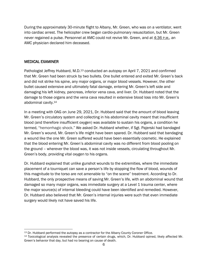During the approximately 30-minute flight to Albany, Mr. Green, who was on a ventilator, went into cardiac arrest. The helicopter crew began cardio-pulmonary resuscitation, but Mr. Green never regained a pulse. Personnel at AMC could not revive Mr. Green, and at 4:36 P.M., an AMC physician declared him deceased.

## MEDICAL EXAMINER

Pathologist Jeffrey Hubbard, M.D.<sup>13</sup> conducted an autopsy on April 7, 2021 and confirmed that Mr. Green had been struck by two bullets. One bullet entered and exited Mr. Green's back and did not strike his spine, any major organs, or major blood vessels. However, the other bullet caused extensive and ultimately fatal damage, entering Mr. Green's left side and damaging his left kidney, pancreas, inferior vena cava, and liver. Dr. Hubbard noted that the damage to those organs and the vena cava resulted in extensive blood loss into Mr. Green's abdominal cavity. 14

In a meeting with OAG on June 29, 2021, Dr. Hubbard said that the amount of blood leaving Mr. Green's circulatory system and collecting in his abdominal cavity meant that insufficient blood (and therefore insufficient oxygen) was available to sustain his organs, a condition he termed, "hemorrhagic shock." We asked Dr. Hubbard whether, if Sgt. Pajerski had bandaged Mr. Green's wound, Mr. Green's life might have been spared. Dr. Hubbard said that bandaging a wound like the one Mr. Green suffered would have been essentially cosmetic. He explained that the blood entering Mr. Green's abdominal cavity was no different from blood pooling on the ground – wherever the blood was, it was not inside vessels, circulating throughout Mr. Green's body, providing vital oxygen to his organs.

Dr. Hubbard explained that unlike gunshot wounds to the extremities, where the immediate placement of a tourniquet can save a person's life by stopping the flow of blood, wounds of this magnitude to the torso are not amenable to "on the scene" treatment. According to Dr. Hubbard, the only prospective means of saving Mr. Green's life, with an abdominal wound that damaged so many major organs, was immediate surgery at a Level 1 trauma center, where the major source(s) of internal bleeding could have been identified and remedied. However, Dr. Hubbard also believed that Mr. Green's internal injuries were such that even immediate surgery would likely not have saved his life.

<sup>&</sup>lt;sup>13</sup> Dr. Hubbard performed the autopsy as a contractor for the Albany County Coroner Office.

<sup>14</sup> Toxicological analysis revealed the presence of certain drugs, which, Dr. Hubbard opined, likely affected Mr. Green's behavior that day, but had no bearing on cause of death.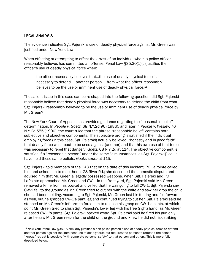#### LEGAL ANALYSIS

The evidence indicates Sgt. Pajerski's use of deadly physical force against Mr. Green was justified under New York Law.

When effecting or attempting to effect the arrest of an individual whom a police officer reasonably believes has committed an offense, Penal Law §35.30(1)(c) justifies the officer's use of deadly physical force when:

the officer reasonably believes that…the use of deadly physical force is necessary to defend … another person … from what the officer reasonably believes to be the use or imminent use of deadly physical force.<sup>15</sup>

The salient issue in this case can be re-shaped into the following question: did Sgt. Pajerski reasonably believe that deadly physical force was necessary to defend the child from what Sgt. Pajerski reasonably believed to be the use or imminent use of deadly physical force by Mr. Green?

The New York Court of Appeals has provided guidance regarding the "reasonable belief" determination. In *People v. Goetz*, 68 N.Y.2d 96 (1986), and later in *People v. Wesley*, 76 N.Y.2d 555 (1990), the court ruled that the phrase "reasonable belief" contains both subjective and objective components. The subjective prong is satisfied if the individual employing force (in this case, Sgt. Pajerski) actually believed, "honestly and in good faith" that deadly force was about to be used against [another] and that his own use of that force was necessary to repel that danger." *Goetz*, 68 N.Y.2d at 114. The objective component is satisfied if a "reasonable person" under the same "circumstances [as Sgt. Pajerski]" could have held those same beliefs. *Goetz*, *supra* at 115.

Sgt. Pajerski told members of the OAG that on the date of this incident, PO LaPointe called him and asked him to meet her at 28 River Rd.; she described the domestic dispute and advised him that Mr. Green allegedly possessed weapons. When Sgt. Pajerski and PO LaPointe approached Mr. Green and CW-1 in the front yard, Sgt. Pajerski said Mr. Green removed a knife from his pocket and yelled that he was going to kill CW-1. Sgt. Pajerski saw CW-1 fall to the ground as Mr. Green tried to cut her with the knife and saw her drop the child she had been holding. According to Sgt. Pajerski, Mr. Green lost his footing and fell forward as well, but he grabbed CW-1's pant leg and continued trying to cut her. Sgt. Pajerski said he stepped on Mr. Green's left arm to force him to release his grasp on CW-1's pants, at which point Mr. Green tried to slash Sgt. Pajerski's lower leg with his free (right) hand; as Mr. Green released CW-1's pants, Sgt. Pajerski backed away. Sgt. Pajerski said he fired his gun only after he saw Mr. Green reach for the child on the ground and knew he did not risk striking

<sup>15</sup> New York Penal Law §35.15 similarly justifies a non-police person's use of deadly physical force to defend another person against the imminent use of deadly force but requires the person to retreat if the person "knows" retreat is possible "with complete personal safety" to that person and others. This is more fully described below.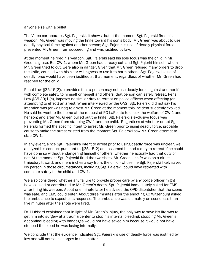anyone else with a bullet.

The Video corroborates Sgt. Pajerski. It shows that at the moment Sgt. Pajerski fired his weapon, Mr. Green was moving the knife toward his son's body. Mr. Green was about to use deadly physical force against another person; Sgt. Pajerski's use of deadly physical force prevented Mr. Green from succeeding and was justified by law.

At the moment he fired his weapon, Sgt. Pajerski said his sole focus was the child in Mr. Green's grasp. But CW-1, whom Mr. Green had already cut, and Sgt. Pajerki himself, whom Mr. Green tried to cut, were also in danger. Given that Mr. Green refused many orders to drop the knife, coupled with his clear willingness to use it to harm others, Sgt. Pajerski's use of deadly force would have been justified at that moment, regardless of whether Mr. Green had reached for the child.

Penal Law §35.15(2)(a) provides that a person may not use deadly force against another if, with complete safety to himself or herself and others, that person can safely retreat. Penal Law §35.30(1)(c), imposes no similar duty to retreat on police officers when effecting (or attempting to effect) an arrest. When interviewed by the OAG, Sgt. Pajerski did not say his intention was (or was not) to arrest Mr. Green at the moment this incident suddenly evolved. He said he went to the home at the request of PO LaPointe to check the welfare of CW-1 and her son; and after Mr. Green pulled out the knife, Sgt. Pajerski's exclusive focus was preventing Mr. Green from stabbing CW-1 and the child. Regardless of whether or not Sgt. Pajerski formed the specific intent to arrest Mr. Green prior to using deadly force, probable cause to make the arrest existed from the moment Sgt. Pajerski saw Mr. Green attempt to stab CW-1.

In any event, since Sgt. Pajerski's intent to arrest prior to using deadly force was unclear, we analyzed his conduct pursuant to §35.15(2) and assumed he had a duty to retreat if he could have done so without endangering himself or others, whether he actually had that duty or not. At the moment Sgt. Pajerski fired the two shots, Mr. Green's knife was on a direct trajectory toward, and mere inches away from, the child - whose life Sgt. Pajerski likely saved. No person in those circumstances, including Sgt. Pajerski, could have retreated with complete safety to the child and CW-1.

We also considered whether any failure to provide proper care by any police officer might have caused or contributed to Mr. Green's death. Sgt. Pajerski immediately called for EMS after firing his weapon. About one minute later he advised the OPD dispatcher that the scene was safe, and EMS could enter. About three minutes after the shooting AC Witzenburg asked the ambulance to expedite its response. The ambulance was ultimately on scene less than five minutes after the shots were fired.

Dr. Hubbard explained that in light of Mr. Green's injury, the only way to save his life was to get him into surgery at a trauma center to stop his internal bleeding; stopping Mr. Green's abdominal bleeding with bandages would not have saved him because it would not have stopped the blood he was losing internally.

We conclude that the evidence indicates Sgt. Pajerski's use of deadly force was justified by law and will not seek charges in this matter.